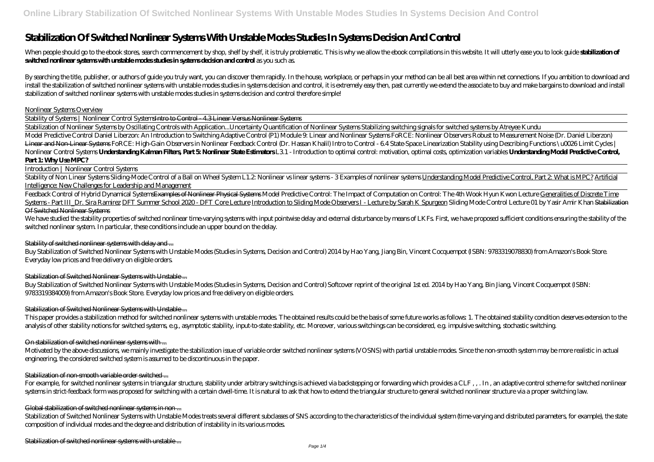# **Stabilization Of Switched Nonlinear Systems With Unstable Modes Studies In Systems Decision And Control**

When people should go to the ebook stores, search commencement by shop, shelf by shelf, it is truly problematic. This is why we allow the ebook compilations in this website. It will utterly ease you to look guide stabiliza **switched nonlinear systems with unstable modes studies in systems decision and control** as you such as.

By searching the title, publisher, or authors of guide you truly want, you can discover them rapidly. In the house, workplace, or perhaps in your method can be all best area within net connections. If you ambition to downl install the stabilization of switched nonlinear systems with unstable modes studies in systems decision and control, it is extremely easy then, past currently we extend the associate to buy and make bargains to download an stabilization of switched nonlinear systems with unstable modes studies in systems decision and control therefore simple!

#### Nonlinear Systems Overview

Stability of Systems | Nonlinear Control Systems<del>Intro to Control - 4.3 Linear Versus Nonlinear Systems</del>

Stability of Non Linear Systems Sliding Mode Control of a Ball on Wheel System L1.2 Nonlinear systems - 3 Examples of nonlinear systems Understanding Model Predictive Control, Part 2 What is MPC? Artificial Intelligence: New Challenges for Leadership and Management

Feedback Control of Hybrid Dynamical System<del>sExamples of Nonlinear Physical Systems</del> Model Predictive Control: The Impact of Computation on Control: The 4th Wook Hyun Kwon Lecture Generalities of Discrete Time Systems - Part III\_Dr. Sira Ramirez DFT Summer School 2020 - DFT Core Lecture Introduction to Sliding Mode Observers I - Lecture by Sarah K Spurgeon *Sliding Mode Control Lecture 01 by Yasir Amir Khan* Stabilization Of Switched Nonlinear Systems

We have studied the stability properties of switched nonlinear time varying systems with input pointwise delay and external disturbance by means of LKFs. First, we have proposed sufficient conditions ensuring the stability switched nonlinear system. In particular, these conditions include an upper bound on the delay.

Stabilization of Nonlinear Systems by Oscillating Controls with Application...*Uncertainty Quantification of Nonlinear Systems Stabilizing switching signals for switched systems by Atreyee Kundu* Model Predictive Control Daniel Liberzon: An Introduction to Switching Adaptive Control (P1) Module 9: Linear and Nonlinear Systems FoRCE: Nonlinear Observers Robust to Measurement Noise (Dr. Daniel Liberzon) Linear and Non-Linear Systems FoRCE: High-Gain Observers in Nonlinear Feedback Control (Dr. Hassan Khalil) Intro to Control - 64 State-Space Linearization Stability using Describing Functions \u0026 Limit Cycles | Nonlinear Control Systems Understanding Kalman Filters, Part 5 Nonlinear State Estimators L31 - Introduction to optimal control: motivation, optimal costs, optimization variables Understanding Model Predictive Control, **Part 1: Why Use MPC?**

# Introduction | Nonlinear Control Systems

For example, for switched nonlinear systems in triangular structure, stability under arbitrary switchings is achieved via backstepping or forwarding which provides a CLF,,. In, an adaptive control scheme for switched nonli systems in strict-feedback form was proposed for switching with a certain dwell-time. It is natural to ask that how to extend the triangular structure to general switched nonlinear structure via a proper switching law.

# Global stabilization of switched nonlinear systems in non...

Stabilization of Switched Nonlinear Systems with Unstable Modes treats several different subclasses of SNS according to the characteristics of the individual system (time-varying and distributed parameters, for example), t composition of individual modes and the degree and distribution of instability in its various modes.

Stabilization of switched nonlinear systems with unstable ...

# Stability of switched nonlinear systems with delay and ...

Buy Stabilization of Switched Nonlinear Systems with Unstable Modes (Studies in Systems, Decision and Control) 2014 by Hao Yang, Jiang Bin, Vincent Cocquempot (ISBN: 9783319078830) from Amazon's Book Store. Everyday low prices and free delivery on eligible orders.

# Stabilization of Switched Nonlinear Systems with Unstable ...

Buy Stabilization of Switched Nonlinear Systems with Unstable Modes (Studies in Systems, Decision and Control) Softcover reprint of the original 1st ed. 2014 by Hao Yang, Bin Jiang, Vincent Cocquempot (ISBN: 9783319384009) from Amazon's Book Store. Everyday low prices and free delivery on eligible orders.

# Stabilization of Switched Nonlinear Systems with Unstable ...

This paper provides a stabilization method for switched nonlinear systems with unstable modes. The obtained results could be the basis of some future works as follows 1. The obtained stability condition deserves extension analysis of other stability notions for switched systems, e.g., asymptotic stability, input-to-state stability, etc. Moreover, various switchings can be considered, e.g. impulsive switching, stochastic switching.

# On stabilization of switched nonlinear systems with ...

Motivated by the above discussions, we mainly investigate the stabilization issue of variable order switched nonlinear systems (VOSNS) with partial unstable modes. Since the non-smooth system may be more realistic in actual engineering, the considered switched system is assumed to be discontinuous in the paper.

# Stabilization of non-smooth variable order switched ...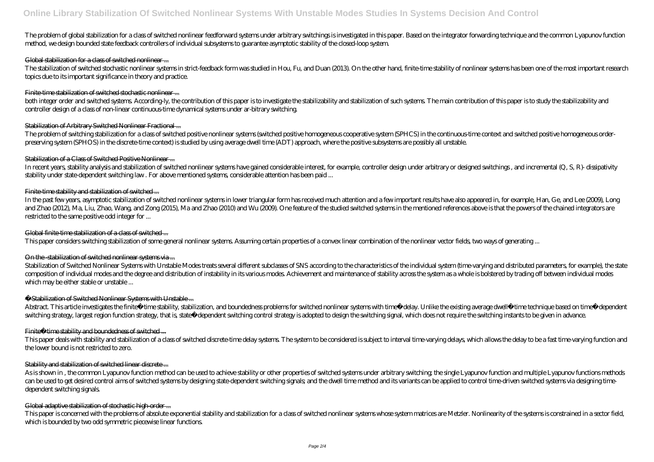# The problem of global stabilization for a class of switched nonlinear feedforward systems under arbitrary switchings is investigated in this paper. Based on the integrator forwarding technique and the common Lyapunov funct method, we design bounded state feedback controllers of individual subsystems to guarantee asymptotic stability of the closed-loop system.

# Global stabilization for a class of switched nonlinear ...

The stabilization of switched stochastic nonlinear systems in strict-feedback form was studied in Hou, Fu, and Duan (2013). On the other hand, finite-time stability of nonlinear systems has been one of the most important r topics due to its important significance in theory and practice.

# Finite-time stabilization of switched stochastic nonlinear ...

both integer order and switched systems. According ly, the contribution of this paper is to investigate the stabilizability and stabilizabilization of such systems. The main contribution of this paper is to study the stabi controller design of a class of non-linear continuous-time dynamical systems under ar-bitrary switching.

In recent years, stability analysis and stabilization of switched nonlinear systems have gained considerable interest, for example, controller design under arbitrary or designed switchings, and incremental (Q, S, R)- dissi stability under state-dependent switching law . For above mentioned systems, considerable attention has been paid ...

# Finite-time stability and stabilization of switched ...

# Stabilization of Arbitrary Switched Nonlinear Fractional ...

The problem of switching stabilization for a class of switched positive nonlinear systems (switched positive homogeneous cooperative system (SPHCS) in the continuous-time context and switched positive homogeneous orderpreserving system (SPHOS) in the discrete-time context) is studied by using average dwell time (ADT) approach, where the positive subsystems are possibly all unstable.

# Stabilization of a Class of Switched Positive Nonlinear ...

Stabilization of Switched Nonlinear Systems with Unstable Modes treats several different subclasses of SNS according to the characteristics of the individual system (time-varying and distributed parameters, for example), t composition of individual modes and the degree and distribution of instability in its various modes. Achievement and maintenance of stability across the system as a whole is bolstered by trading off between individual modes which may be either stable or unstable ...

This paper deals with stability and stabilization of a class of switched discrete time delay systems. The system to be considered is subject to interval time varying delays, which allows the delay to be a fast time varying the lower bound is not restricted to zero.

# Stability and stabilization of switched linear discrete...

In the past few years, asymptotic stabilization of switched nonlinear systems in lower triangular form has received much attention and a few important results have also appeared in, for example, Han, Ge, and Lee (2009), Long and Zhao (2012), Ma, Liu, Zhao, Wang, and Zong (2015), Ma and Zhao (2010) and Wu (2009). One feature of the studied switched systems in the mentioned references above is that the powers of the chained integrators are restricted to the same positive odd integer for ...

# Global finite-time stabilization of a class of switched ...

This paper is concerned with the problems of absolute exponential stability and stabilization for a class of switched nonlinear systems whose system matrices are Metzler. Nonlinearity of the systems is constrained in a sec which is bounded by two odd symmetric piecewise linear functions.

This paper considers switching stabilization of some general nonlinear systems. Assuming certain properties of a convex linear combination of the nonlinear vector fields, two ways of generating ...

# On the -stabilization of switched nonlinear systems via...

# Stabilization of Switched Nonlinear Systems with Unstable ...

Abstract. This article investigates the finite–time stability, stabilization, and boundedness problems for switched nonlinear systems with time—delay. Unlike the existing average dwell—time technique based on time—dependen switching strategy, largest region function strategy, that is, state—dependent switching control strategy is adopted to design the switching signal, which does not require the switching instants to be given in advance.

# Finite time stability and boundedness of switched ...

As is shown in , the common Lyapunov function method can be used to achieve stability or other properties of switched systems under arbitrary switching; the single Lyapunov function and multiple Lyapunov functions methods can be used to get desired control aims of switched systems by designing state dependent switching signals, and the dwell time method and its variants can be applied to control time-driven switched systems via designing ti dependent switching signals.

# Global adaptive stabilization of stochastic high-order ...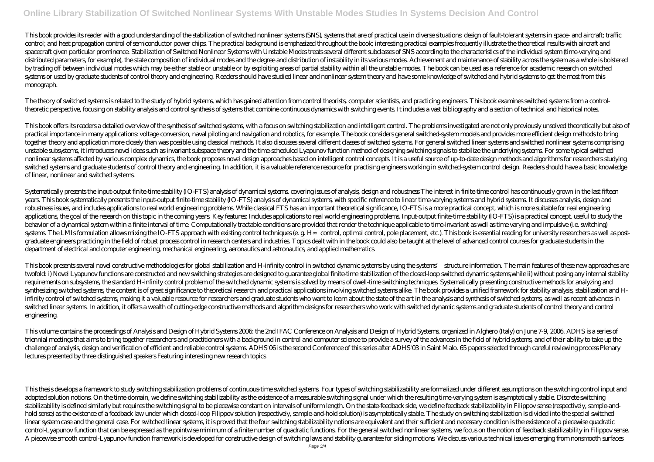This book provides its reader with a good understanding of the stabilization of switched nonlinear systems (SNS), systems that are of practical use in diverse situations design of fault-tolerant systems in space- and aircr control; and heat propagation control of semiconductor power chips. The practical background is emphasized throughout the book; interesting practical examples frequently illustrate the theoretical results with aircraft and spacecraft given particular prominence. Stabilization of Switched Nonlinear Systems with Unstable Modes treats several different subclasses of SNS according to the characteristics of the individual system (time-varying and distributed parameters, for example), the state composition of individual modes and the degree and distribution of instability in its various modes. Achievement and maintenance of stability across the system as a whole is by trading off between individual modes which may be either stable or unstable or by exploiting areas of partial stability within all the unstable modes. The book can be used as a reference for academic research on switched systems or used by graduate students of control theory and engineering. Readers should have studied linear and nonlinear system theory and have some knowledge of switched and hybrid systems to get the most from this monograph.

This book offers its readers a detailed overview of the synthesis of switched systems, with a focus on switching stabilization and intelligent control. The problems investigated are not only previously unsolved theoretical practical importance in many applications: voltage conversion, naval piloting and navigation and robotics, for example. The book considers general switched-system models and provides more efficient design methods to bring together theory and application more dosely than was possible using classical methods. It also discusses several different classes of switched systems. For general switched linear systems and switched nonlinear systems com unstable subsystems, it introduces novel ideas such as invariant subspace theory and the time-scheduled Lyapunov function method of designing switching signals to stabilize the underlying systems. For some typical switched nonlinear systems affected by various complex dynamics, the book proposes novel design approaches based on intelligent control concepts. It is a useful source of up-to-date design methods and algorithms for researchers stu switched systems and graduate students of control theory and engineering. In addition, it is a valuable reference resource for practising engineers working in switched-system control design. Readers should have a basic kno of linear, nonlinear and switched systems.

The theory of switched systems is related to the study of hybrid systems, which has gained attention from control theorists, computer scientists, and practicing engineers. This book examines switched systems from a controltheoretic perspective, focusing on stability analysis and control synthesis of systems that combine continuous dynamics with switching events. It includes a vast bibliography and a section of technical and historical notes.

Systematically presents the input-output finite time stability (IO-FTS) analysis of dynamical systems, covering issues of analysis, design and robustness The interest in finite time control has continuously grown in the la years. This book systematically presents the input-output finite-time stability (IO-FTS) analysis of dynamical systems, with specific reference to linear time-varying systems and hybrid systems. It discusses analysis, desi robustness issues, and includes applications to real world engineering problems. While classical FTS has an important theoretical significance, IO-FTS is a more practical concept, which is more suitable for real engineering applications the goal of the research on this topic in the coming years. Key features Includes applications to real world engineering problems. Input-output finite time stability (IO-FTS) is a practical concept, useful to behavior of a dynamical system within a finite interval of time. Computationally tractable conditions are provided that render the technique applicable to time-invariant as well as time varying and impulsive (i.e. switching) systems The LMIs formulation allows mixing the IO-FTS approach with existing control techniques (e. g. H control, optimal control, pole placement, etc.). This book is essential reading for university researchers as well as graduate engineers practicing in the field of robust process control in research centers and industries. Topics dealt with in the book could also be taught at the level of advanced control courses for graduate students in department of electrical and computer engineering, mechanical engineering, aeronautics and astronautics, and applied mathematics.

This book presents several novel constructive methodologies for global stabilization and H-infinity control in switched dynamic systems by using the systems' structure information. The main features of these new approaches twofold: i) Novel Lyapunov functions are constructed and new switching strategies are designed to guarantee global finite time stabilization of the closed-loop switched dynamic systems while ii) without posing any internal requirements on subsystems, the standard H-infinity control problem of the switched dynamic systems is solved by means of dwell-time switching techniques. Systematically presenting constructive methods for analyzing and synthesizing switched systems, the content is of great significance to theoretical research and practical applications involving switched systems alike. The book provides a unified framework for stability analysis, stabili infinity control of switched systems, making it a valuable resource for researchers and graduate students who want to learn about the state of the art in the analysis and synthesis of switched systems, as well as recent ad switched linear systems. In addition, it offers a wealth of cutting-edge constructive methods and algorithm designs for researchers who work with switched dynamic systems and graduate students of control theory and control engineering.

This thesis develops a framework to study switching stabilization problems of continuous time switched systems. Four types of switching stabilizability are formalized under different assumptions on the switching control in adopted solution notions. On the time-domain, we define switching stabilizability as the existence of a measurable switching signal under which the resulting time-varying system is asymptotically stable. Discrete switching stabilizability is defined similarly but requires the switching signal to be piecewise constant on intervals of uniform length. On the state-feedback side, we define feedback stabilizability in Filippov sense (respectively hold sense) as the existence of a feedback law under which closed loop Filippov solution (respectively, sample and hold solution) is asymptotically stable. The study on switching stabilization is divided into the special s linear system case and the general case. For switched linear systems, it is proved that the four switching stabilizability notions are equivalent and their sufficient and necessary condition is the existence of a piecewise control-Lyapunov function that can be expressed as the pointwise minimum of a finite number of quadratic functions. For the general switched nonlinear systems, we focus on the notion of feedback stabilizability in Filippov A piecewise smooth control-Lyapunov function framework is developed for constructive design of switching laws and stability guarantee for sliding motions. We discuss various technical issues emerging from nonsmooth surfaces

This volume contains the proceedings of Analysis and Design of Hybrid Systems 2006: the 2nd IFAC Conference on Analysis and Design of Hybrid Systems, organized in Alghero (Italy) on June 7-9, 2006. ADHS is a series of triennial meetings that aims to bring together researchers and practitioners with a background in control and computer science to provide a survey of the advances in the field of hybrid systems, and of their ability to tak challenge of analysis, design and verification of efficient and reliable control systems. ADHS'OS is the second Conference of this series after ADHS'OS in Saint Malo. 65 papers selected through careful reviewing process Pl lectures presented by three distinguished speakers Featuring interesting new research topics